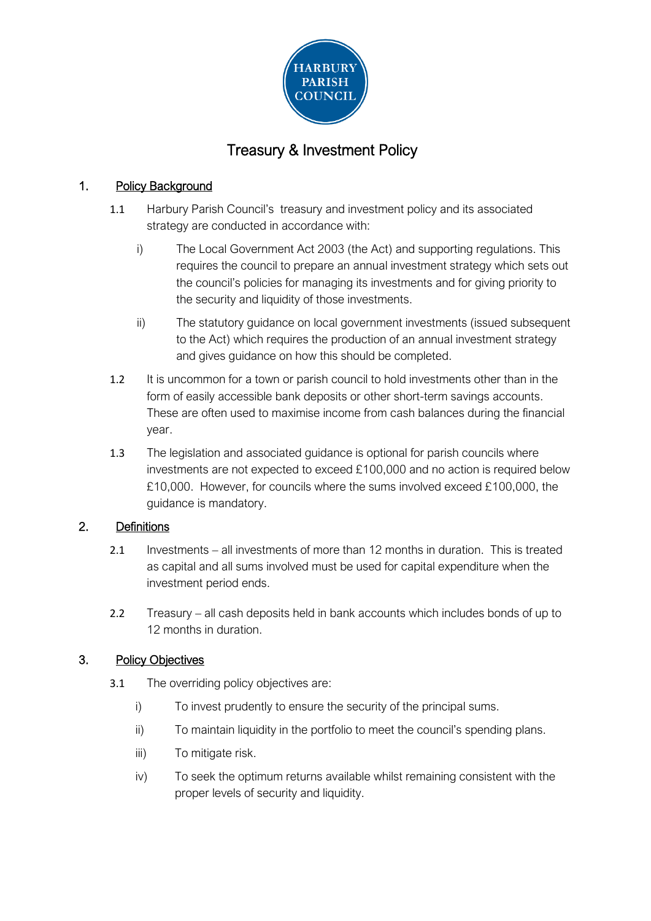

# Treasury & Investment Policy

## 1. Policy Background

- 1.1 Harbury Parish Council's treasury and investment policy and its associated strategy are conducted in accordance with:
	- i) The Local Government Act 2003 (the Act) and supporting regulations. This requires the council to prepare an annual investment strategy which sets out the council's policies for managing its investments and for giving priority to the security and liquidity of those investments.
	- ii) The statutory guidance on local government investments (issued subsequent to the Act) which requires the production of an annual investment strategy and gives guidance on how this should be completed.
- 1.2 It is uncommon for a town or parish council to hold investments other than in the form of easily accessible bank deposits or other short-term savings accounts. These are often used to maximise income from cash balances during the financial year.
- 1.3 The legislation and associated guidance is optional for parish councils where investments are not expected to exceed £100,000 and no action is required below £10,000. However, for councils where the sums involved exceed £100,000, the guidance is mandatory.

### 2. Definitions

- 2.1 Investments all investments of more than 12 months in duration. This is treated as capital and all sums involved must be used for capital expenditure when the investment period ends.
- 2.2 Treasury all cash deposits held in bank accounts which includes bonds of up to 12 months in duration.

### 3. Policy Objectives

- 3.1 The overriding policy objectives are:
	- i) To invest prudently to ensure the security of the principal sums.
	- ii) To maintain liquidity in the portfolio to meet the council's spending plans.
	- iii) To mitigate risk.
	- iv) To seek the optimum returns available whilst remaining consistent with the proper levels of security and liquidity.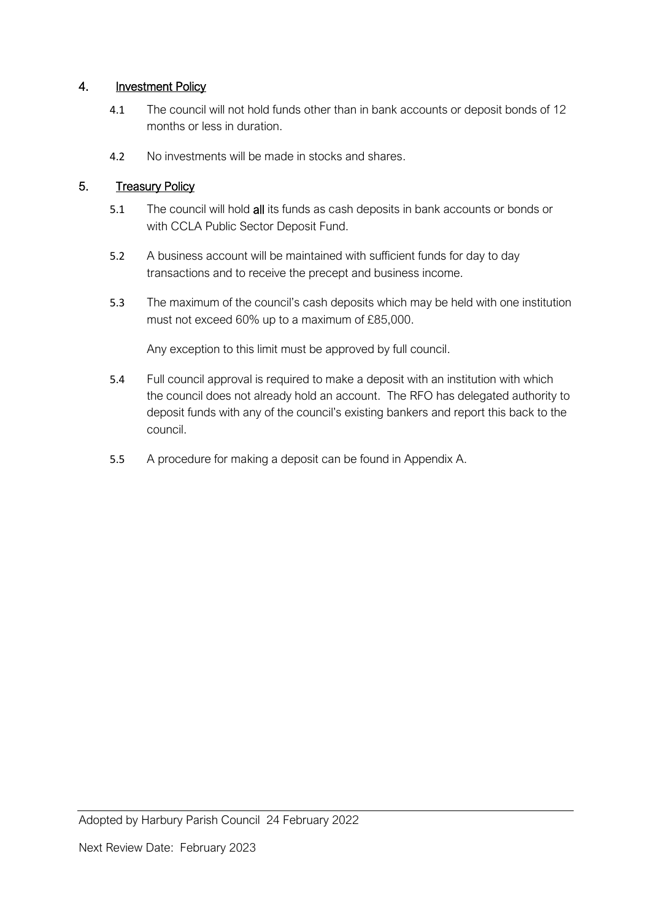### 4. Investment Policy

- 4.1 The council will not hold funds other than in bank accounts or deposit bonds of 12 months or less in duration.
- 4.2 No investments will be made in stocks and shares.

### 5. Treasury Policy

- 5.1 The council will hold all its funds as cash deposits in bank accounts or bonds or with CCLA Public Sector Deposit Fund.
- 5.2 A business account will be maintained with sufficient funds for day to day transactions and to receive the precept and business income.
- 5.3 The maximum of the council's cash deposits which may be held with one institution must not exceed 60% up to a maximum of £85,000.

Any exception to this limit must be approved by full council.

- 5.4 Full council approval is required to make a deposit with an institution with which the council does not already hold an account. The RFO has delegated authority to deposit funds with any of the council's existing bankers and report this back to the council.
- 5.5 A procedure for making a deposit can be found in Appendix A.